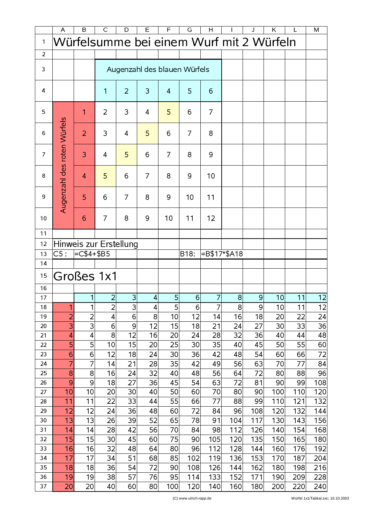|                | A                                        | B                      | $\mathsf{C}$                 | D              | E              | F               | G              | H              |                | J              | K.       | L        | M               |
|----------------|------------------------------------------|------------------------|------------------------------|----------------|----------------|-----------------|----------------|----------------|----------------|----------------|----------|----------|-----------------|
| $\mathbf{1}$   | Würfelsumme bei einem Wurf mit 2 Würfeln |                        |                              |                |                |                 |                |                |                |                |          |          |                 |
| $\overline{2}$ |                                          |                        |                              |                |                |                 |                |                |                |                |          |          |                 |
|                |                                          |                        |                              |                |                |                 |                |                |                |                |          |          |                 |
| 3              |                                          |                        | Augenzahl des blauen Würfels |                |                |                 |                |                |                |                |          |          |                 |
| 4              |                                          |                        | 1                            | $\overline{2}$ | 3              | 4               | 5              | 6              |                |                |          |          |                 |
| 5              |                                          | 1                      | $\overline{2}$               | 3              | 4              | 5               | 6              | $\overline{7}$ |                |                |          |          |                 |
| 6              | Augenzahl des roten Würfels              | $\overline{2}$         | 3                            | $\overline{4}$ | 5              | 6               | $\overline{7}$ | 8              |                |                |          |          |                 |
| $\overline{7}$ |                                          | 3                      | $\overline{4}$               | 5              | 6              | 7               | 8              | 9              |                |                |          |          |                 |
| 8              |                                          | $\overline{4}$         | 5                            | 6              | $\overline{7}$ | 8               | 9              | 10             |                |                |          |          |                 |
| 9              |                                          | 5                      | 6                            | $\overline{7}$ | 8              | 9               | 10             | 11             |                |                |          |          |                 |
| 10             |                                          | 6                      | 7                            | 8              | 9              | 10              | 11             | 12             |                |                |          |          |                 |
| 11             |                                          |                        |                              |                |                |                 |                |                |                |                |          |          |                 |
| 12             |                                          | Hinweis zur Erstellung |                              |                |                |                 |                |                |                |                |          |          |                 |
| 13             | C5:                                      | $=C$4+$BB5$            |                              |                |                |                 | B18:           |                | =B\$17*\$A18   |                |          |          |                 |
| 14             |                                          |                        |                              |                |                |                 |                |                |                |                |          |          |                 |
| 15             |                                          | Großes 1x1             |                              |                |                |                 |                |                |                |                |          |          |                 |
| 16             |                                          |                        |                              |                |                |                 |                |                |                |                |          |          |                 |
| 17             |                                          | 1                      | $\overline{2}$               | 3              | 4              | $5\overline{)}$ | 6              | 7              | 8 <sup>1</sup> | $\overline{9}$ | 10       | 11       | $\overline{12}$ |
| 18             | 1                                        | 1                      | $\mathbf{z}$                 | З              | 4              | 5               | 6              | 7              | 8              | $\overline{a}$ | 10       | 11       | 12              |
| 19             | $\overline{2}$                           | $\overline{2}$         | $\vert 4 \vert$              | 6              | 8              | 10              | 12             | 14             | 16             | 18             | 20       | 22       | 24              |
| 20             | 3                                        | 3                      | $6 \mid$                     | 9              | 12             | 15              | 18             | 21             | 24             | 27             | 30       | 33       | 36              |
| 21             | 4                                        | 4                      | $\mathbf{8}$                 | 12             | 16             | 20              | 24             | 28             | 32             | 36             | 40       | 44       | 48              |
| 22             | 5                                        | 5                      | 10                           | 15             | 20             | 25              | 30             | 35             | 40             | 45             | 50       | 55       | 60              |
| 23             | 6<br>7                                   | 6<br>7                 | 12 <br> 4                    | 18             | 24             | 30<br>35        | 36             | 42<br>49       | 48             | 54<br>63       | 60       | 66       | 72              |
| 24<br>25       | 8                                        | 8                      | 16                           | 21<br>24       | 28<br>32       | 40              | 42<br>48       | 56             | 56<br>64       | 72             | 70<br>80 | 77<br>88 | 84<br>96        |
| 26             | 9                                        | 9                      | 18                           | 27             | 36             | 45              | 54             | 63             | 72             | 81             | 90       | 99       | 108             |
| 27             | 10                                       | 10                     | 20                           | 30             | 40             | 50              | 60             | 70             | 80             | 90             | 100      | 110      | 120             |
| 28             | 11                                       | 11                     | 22                           | 33             | 44             | 55              | 66             | 77             | 88             | 99             | 110      | 121      | 132             |
| 29             | 12                                       | 12                     | 24                           | 36             | 48             | 60              | 72             | 84             | 96             | 108            | 120      | 132      | 144             |
| 30             | 13                                       | 13                     | 26                           | 39             | 52             | 65              | 78             | 91             | 104            | 117            | 130      | 143      | 156             |
| 31             | 14                                       | 14                     | 28                           | 42             | 56             | 70              | 84             | 98             | 112            | 126            | 140      | 154      | 168             |
| 32             | 15                                       | 15                     | 30                           | 45             | 60             | 75              | 90             | 105            | 120            | 135            | 150      | 165      | 180             |
| 33             | 16                                       | 16                     | 32                           | 48             | 64             | 80              | 96             | 112            | 128            | 144            | 160      | 176      | 192             |
| 34             | 17                                       | 17                     | 34                           | 51             | 68             | 85              | 102            | 119            | 136            | 153            | 170      | 187      | 204             |
| 35             | 18                                       | 18                     | 36                           | 54             | 72             | 90              | 108            | 126            | 144            | 162            | 180      | 198      | 216             |
| 36             | 19                                       | 19                     | 38                           | 57             | 76             | 95              | 114            | 133            | 152            | 171            | 190      | 209      | 228             |
| 37             | 20                                       | 20                     | 40                           | 60             | 80             | 100             | 120            | 140            | 160            | 180            | 200      | 220      | 240             |